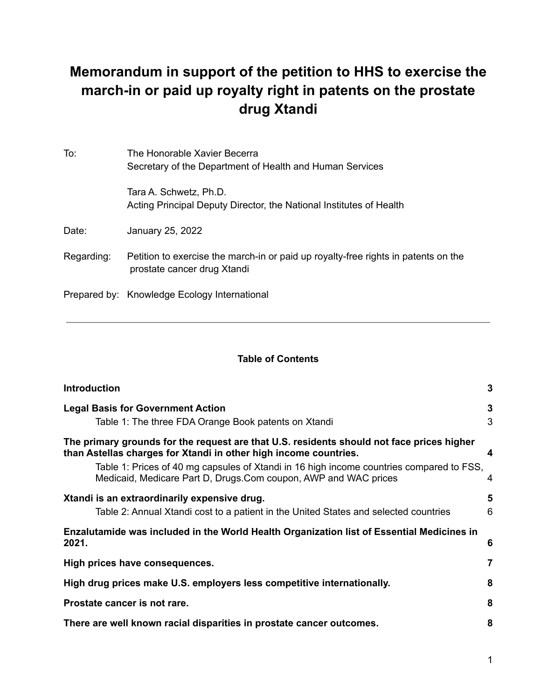# **Memorandum in support of the petition to HHS to exercise the march-in or paid up royalty right in patents on the prostate drug Xtandi**

| To:        | The Honorable Xavier Becerra<br>Secretary of the Department of Health and Human Services                          |
|------------|-------------------------------------------------------------------------------------------------------------------|
|            | Tara A. Schwetz, Ph.D.<br>Acting Principal Deputy Director, the National Institutes of Health                     |
| Date:      | January 25, 2022                                                                                                  |
| Regarding: | Petition to exercise the march-in or paid up royalty-free rights in patents on the<br>prostate cancer drug Xtandi |
|            | Prepared by: Knowledge Ecology International                                                                      |

#### **Table of Contents**

| <b>Introduction</b>                                                                                                                                                                                                                                                                                                          | 3      |
|------------------------------------------------------------------------------------------------------------------------------------------------------------------------------------------------------------------------------------------------------------------------------------------------------------------------------|--------|
| <b>Legal Basis for Government Action</b><br>Table 1: The three FDA Orange Book patents on Xtandi                                                                                                                                                                                                                             | 3<br>3 |
| The primary grounds for the request are that U.S. residents should not face prices higher<br>than Astellas charges for Xtandi in other high income countries.<br>Table 1: Prices of 40 mg capsules of Xtandi in 16 high income countries compared to FSS,<br>Medicaid, Medicare Part D, Drugs.Com coupon, AWP and WAC prices | 4<br>4 |
| Xtandi is an extraordinarily expensive drug.<br>Table 2: Annual Xtandi cost to a patient in the United States and selected countries                                                                                                                                                                                         | 5<br>6 |
| Enzalutamide was included in the World Health Organization list of Essential Medicines in<br>2021.                                                                                                                                                                                                                           | 6      |
| High prices have consequences.                                                                                                                                                                                                                                                                                               | 7      |
| High drug prices make U.S. employers less competitive internationally.                                                                                                                                                                                                                                                       | 8      |
| Prostate cancer is not rare.                                                                                                                                                                                                                                                                                                 | 8      |
| There are well known racial disparities in prostate cancer outcomes.                                                                                                                                                                                                                                                         | 8      |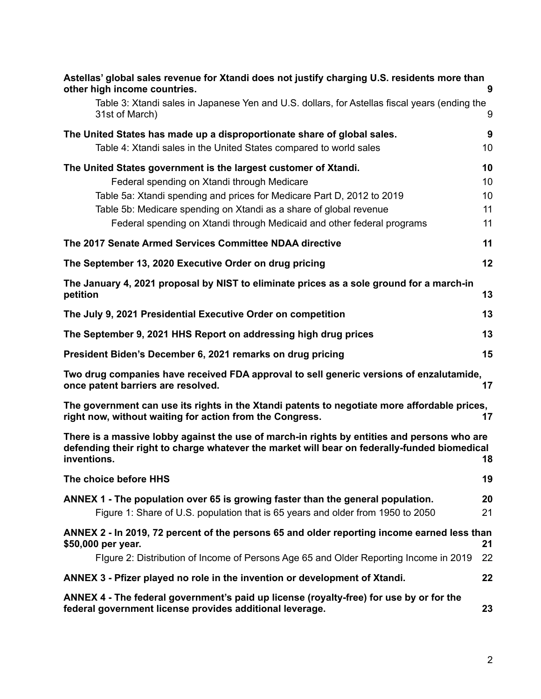| Astellas' global sales revenue for Xtandi does not justify charging U.S. residents more than<br>other high income countries.                                                                               | 9        |
|------------------------------------------------------------------------------------------------------------------------------------------------------------------------------------------------------------|----------|
| Table 3: Xtandi sales in Japanese Yen and U.S. dollars, for Astellas fiscal years (ending the<br>31st of March)                                                                                            | 9        |
| The United States has made up a disproportionate share of global sales.                                                                                                                                    | 9        |
| Table 4: Xtandi sales in the United States compared to world sales                                                                                                                                         | 10       |
| The United States government is the largest customer of Xtandi.<br>Federal spending on Xtandi through Medicare                                                                                             | 10<br>10 |
| Table 5a: Xtandi spending and prices for Medicare Part D, 2012 to 2019                                                                                                                                     | 10       |
| Table 5b: Medicare spending on Xtandi as a share of global revenue                                                                                                                                         | 11       |
| Federal spending on Xtandi through Medicaid and other federal programs                                                                                                                                     | 11       |
| The 2017 Senate Armed Services Committee NDAA directive                                                                                                                                                    | 11       |
| The September 13, 2020 Executive Order on drug pricing                                                                                                                                                     | 12       |
| The January 4, 2021 proposal by NIST to eliminate prices as a sole ground for a march-in<br>petition                                                                                                       | 13       |
| The July 9, 2021 Presidential Executive Order on competition                                                                                                                                               | 13       |
| The September 9, 2021 HHS Report on addressing high drug prices                                                                                                                                            | 13       |
| President Biden's December 6, 2021 remarks on drug pricing                                                                                                                                                 | 15       |
| Two drug companies have received FDA approval to sell generic versions of enzalutamide,<br>once patent barriers are resolved.                                                                              | 17       |
| The government can use its rights in the Xtandi patents to negotiate more affordable prices,<br>right now, without waiting for action from the Congress.                                                   | 17       |
| There is a massive lobby against the use of march-in rights by entities and persons who are<br>defending their right to charge whatever the market will bear on federally-funded biomedical<br>inventions. | 18       |
| The choice before HHS                                                                                                                                                                                      | 19       |
| ANNEX 1 - The population over 65 is growing faster than the general population.<br>Figure 1: Share of U.S. population that is 65 years and older from 1950 to 2050                                         | 20<br>21 |
| ANNEX 2 - In 2019, 72 percent of the persons 65 and older reporting income earned less than<br>\$50,000 per year.                                                                                          | 21       |
| Figure 2: Distribution of Income of Persons Age 65 and Older Reporting Income in 2019                                                                                                                      | 22       |
| ANNEX 3 - Pfizer played no role in the invention or development of Xtandi.                                                                                                                                 | 22       |
| ANNEX 4 - The federal government's paid up license (royalty-free) for use by or for the<br>federal government license provides additional leverage.                                                        | 23       |

#### 2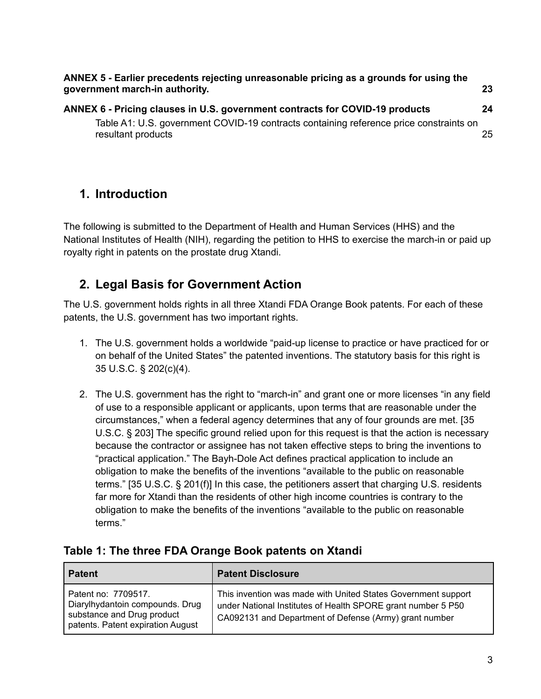**ANNEX 5 - Earlier precedents rejecting [unreasonable](#page-22-1) pricing as a grounds for using the [government](#page-22-1) march-in authority. [23](#page-22-1) ANNEX 6 - Pricing clauses in U.S. [government](#page-23-0) contracts for COVID-19 products [24](#page-23-0)**

Table A1: U.S. [government](#page-24-0) COVID-19 contracts containing reference price constraints on [resultant](#page-24-0) products [25](#page-24-0)

## <span id="page-2-0"></span>**1. Introduction**

The following is submitted to the Department of Health and Human Services (HHS) and the National Institutes of Health (NIH), regarding the petition to HHS to exercise the march-in or paid up royalty right in patents on the prostate drug Xtandi.

## <span id="page-2-1"></span>**2. Legal Basis for Government Action**

The U.S. government holds rights in all three Xtandi FDA Orange Book patents. For each of these patents, the U.S. government has two important rights.

- 1. The U.S. government holds a worldwide "paid-up license to practice or have practiced for or on behalf of the United States" the patented inventions. The statutory basis for this right is 35 U.S.C. § 202(c)(4).
- 2. The U.S. government has the right to "march-in" and grant one or more licenses "in any field of use to a responsible applicant or applicants, upon terms that are reasonable under the circumstances," when a federal agency determines that any of four grounds are met. [35 U.S.C. § 203] The specific ground relied upon for this request is that the action is necessary because the contractor or assignee has not taken effective steps to bring the inventions to "practical application." The Bayh-Dole Act defines practical application to include an obligation to make the benefits of the inventions "available to the public on reasonable terms." [35 U.S.C. § 201(f)] In this case, the petitioners assert that charging U.S. residents far more for Xtandi than the residents of other high income countries is contrary to the obligation to make the benefits of the inventions "available to the public on reasonable terms."

### <span id="page-2-2"></span>**Table 1: The three FDA Orange Book patents on Xtandi**

| ∣ Patent                                                                                                                  | <b>Patent Disclosure</b>                                                                                                                                                                |
|---------------------------------------------------------------------------------------------------------------------------|-----------------------------------------------------------------------------------------------------------------------------------------------------------------------------------------|
| Patent no: 7709517.<br>Diarylhydantoin compounds. Drug<br>substance and Drug product<br>patents. Patent expiration August | This invention was made with United States Government support<br>under National Institutes of Health SPORE grant number 5 P50<br>CA092131 and Department of Defense (Army) grant number |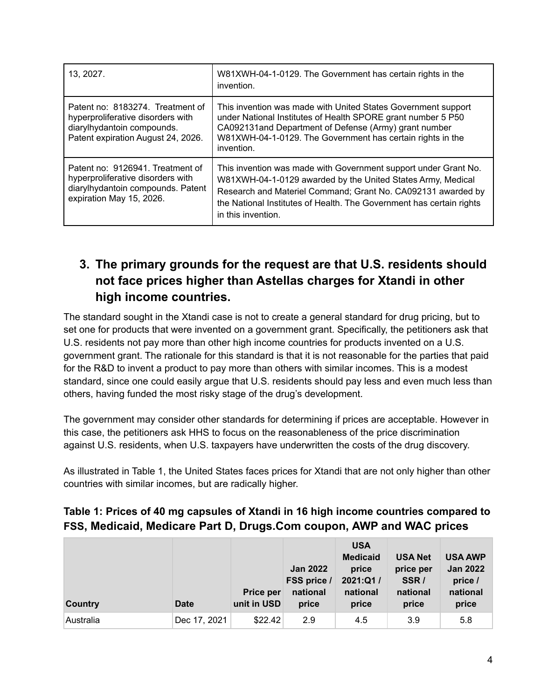| 13, 2027.                                                                                                                                 | W81XWH-04-1-0129. The Government has certain rights in the<br>invention.                                                                                                                                                                                                                     |
|-------------------------------------------------------------------------------------------------------------------------------------------|----------------------------------------------------------------------------------------------------------------------------------------------------------------------------------------------------------------------------------------------------------------------------------------------|
| Patent no: 8183274. Treatment of<br>hyperproliferative disorders with<br>diarylhydantoin compounds.<br>Patent expiration August 24, 2026. | This invention was made with United States Government support<br>under National Institutes of Health SPORE grant number 5 P50<br>CA092131and Department of Defense (Army) grant number<br>W81XWH-04-1-0129. The Government has certain rights in the<br>invention.                           |
| Patent no: 9126941. Treatment of<br>hyperproliferative disorders with<br>diarylhydantoin compounds. Patent<br>expiration May 15, 2026.    | This invention was made with Government support under Grant No.<br>W81XWH-04-1-0129 awarded by the United States Army, Medical<br>Research and Materiel Command; Grant No. CA092131 awarded by<br>the National Institutes of Health. The Government has certain rights<br>in this invention. |

## **3. The primary grounds for the request are that U.S. residents should not face prices higher than Astellas charges for Xtandi in other high income countries.**

<span id="page-3-0"></span>The standard sought in the Xtandi case is not to create a general standard for drug pricing, but to set one for products that were invented on a government grant. Specifically, the petitioners ask that U.S. residents not pay more than other high income countries for products invented on a U.S. government grant. The rationale for this standard is that it is not reasonable for the parties that paid for the R&D to invent a product to pay more than others with similar incomes. This is a modest standard, since one could easily argue that U.S. residents should pay less and even much less than others, having funded the most risky stage of the drug's development.

The government may consider other standards for determining if prices are acceptable. However in this case, the petitioners ask HHS to focus on the reasonableness of the price discrimination against U.S. residents, when U.S. taxpayers have underwritten the costs of the drug discovery.

As illustrated in Table 1, the United States faces prices for Xtandi that are not only higher than other countries with similar incomes, but are radically higher.

### <span id="page-3-1"></span>**Table 1: Prices of 40 mg capsules of Xtandi in 16 high income countries compared to FSS, Medicaid, Medicare Part D, Drugs.Com coupon, AWP and WAC prices**

| <b>Country</b> | <b>Date</b>  | Price per<br>unit in USD | <b>Jan 2022</b><br>FSS price /<br>national<br>price | <b>USA</b><br><b>Medicaid</b><br>price<br>2021:Q1/<br>national<br>price | <b>USA Net</b><br>price per<br>SSR/<br>national<br>price | <b>USA AWP</b><br><b>Jan 2022</b><br>price /<br>national<br>price |
|----------------|--------------|--------------------------|-----------------------------------------------------|-------------------------------------------------------------------------|----------------------------------------------------------|-------------------------------------------------------------------|
| Australia      | Dec 17, 2021 | \$22.42                  | 2.9                                                 | 4.5                                                                     | 3.9                                                      | 5.8                                                               |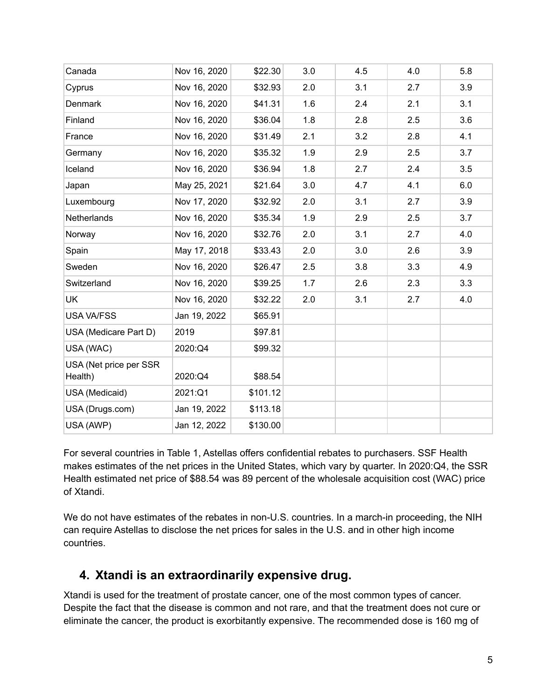| Canada                            | Nov 16, 2020 | \$22.30  | 3.0 | 4.5 | 4.0 | 5.8 |
|-----------------------------------|--------------|----------|-----|-----|-----|-----|
| Cyprus                            | Nov 16, 2020 | \$32.93  | 2.0 | 3.1 | 2.7 | 3.9 |
| Denmark                           | Nov 16, 2020 | \$41.31  | 1.6 | 2.4 | 2.1 | 3.1 |
| Finland                           | Nov 16, 2020 | \$36.04  | 1.8 | 2.8 | 2.5 | 3.6 |
| France                            | Nov 16, 2020 | \$31.49  | 2.1 | 3.2 | 2.8 | 4.1 |
| Germany                           | Nov 16, 2020 | \$35.32  | 1.9 | 2.9 | 2.5 | 3.7 |
| Iceland                           | Nov 16, 2020 | \$36.94  | 1.8 | 2.7 | 2.4 | 3.5 |
| Japan                             | May 25, 2021 | \$21.64  | 3.0 | 4.7 | 4.1 | 6.0 |
| Luxembourg                        | Nov 17, 2020 | \$32.92  | 2.0 | 3.1 | 2.7 | 3.9 |
| Netherlands                       | Nov 16, 2020 | \$35.34  | 1.9 | 2.9 | 2.5 | 3.7 |
| Norway                            | Nov 16, 2020 | \$32.76  | 2.0 | 3.1 | 2.7 | 4.0 |
| Spain                             | May 17, 2018 | \$33.43  | 2.0 | 3.0 | 2.6 | 3.9 |
| Sweden                            | Nov 16, 2020 | \$26.47  | 2.5 | 3.8 | 3.3 | 4.9 |
| Switzerland                       | Nov 16, 2020 | \$39.25  | 1.7 | 2.6 | 2.3 | 3.3 |
| <b>UK</b>                         | Nov 16, 2020 | \$32.22  | 2.0 | 3.1 | 2.7 | 4.0 |
| <b>USA VA/FSS</b>                 | Jan 19, 2022 | \$65.91  |     |     |     |     |
| USA (Medicare Part D)             | 2019         | \$97.81  |     |     |     |     |
| USA (WAC)                         | 2020:Q4      | \$99.32  |     |     |     |     |
| USA (Net price per SSR<br>Health) | 2020:Q4      | \$88.54  |     |     |     |     |
| USA (Medicaid)                    | 2021:Q1      | \$101.12 |     |     |     |     |
| USA (Drugs.com)                   | Jan 19, 2022 | \$113.18 |     |     |     |     |
| USA (AWP)                         | Jan 12, 2022 | \$130.00 |     |     |     |     |

For several countries in Table 1, Astellas offers confidential rebates to purchasers. SSF Health makes estimates of the net prices in the United States, which vary by quarter. In 2020:Q4, the SSR Health estimated net price of \$88.54 was 89 percent of the wholesale acquisition cost (WAC) price of Xtandi.

We do not have estimates of the rebates in non-U.S. countries. In a march-in proceeding, the NIH can require Astellas to disclose the net prices for sales in the U.S. and in other high income countries.

### <span id="page-4-0"></span>**4. Xtandi is an extraordinarily expensive drug.**

Xtandi is used for the treatment of prostate cancer, one of the most common types of cancer. Despite the fact that the disease is common and not rare, and that the treatment does not cure or eliminate the cancer, the product is exorbitantly expensive. The recommended dose is 160 mg of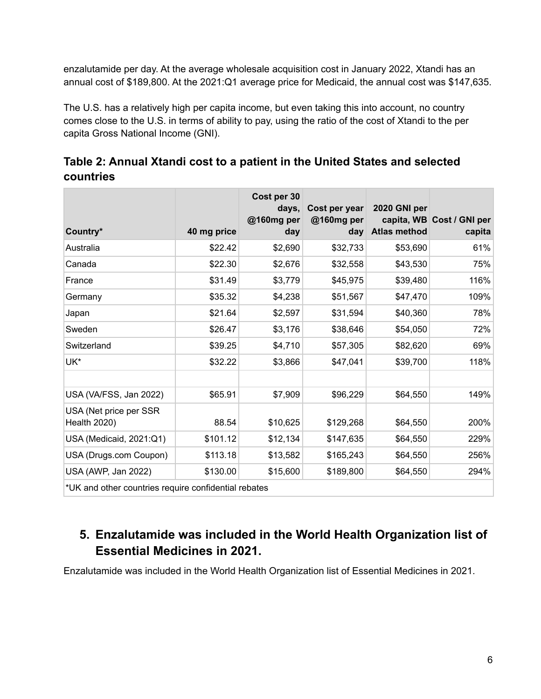enzalutamide per day. At the average wholesale acquisition cost in January 2022, Xtandi has an annual cost of \$189,800. At the 2021:Q1 average price for Medicaid, the annual cost was \$147,635.

The U.S. has a relatively high per capita income, but even taking this into account, no country comes close to the U.S. in terms of ability to pay, using the ratio of the cost of Xtandi to the per capita Gross National Income (GNI).

<span id="page-5-0"></span>

| Table 2: Annual Xtandi cost to a patient in the United States and selected |  |
|----------------------------------------------------------------------------|--|
| countries                                                                  |  |

| Country*                                             |             | Cost per 30<br>days.<br>@160mg per | Cost per year<br>@160mg per<br>day | 2020 GNI per<br><b>Atlas method</b> | capita, WB Cost / GNI per |  |
|------------------------------------------------------|-------------|------------------------------------|------------------------------------|-------------------------------------|---------------------------|--|
|                                                      | 40 mg price | day                                |                                    |                                     | capita                    |  |
| Australia                                            | \$22.42     | \$2,690                            | \$32,733                           | \$53,690                            | 61%                       |  |
| Canada                                               | \$22.30     | \$2,676                            | \$32,558                           | \$43,530                            | 75%                       |  |
| France                                               | \$31.49     | \$3,779                            | \$45,975                           | \$39,480                            | 116%                      |  |
| Germany                                              | \$35.32     | \$4,238                            | \$51,567                           | \$47,470                            | 109%                      |  |
| Japan                                                | \$21.64     | \$2,597                            | \$31,594                           | \$40,360                            | 78%                       |  |
| Sweden                                               | \$26.47     | \$3,176                            | \$38,646                           | \$54,050                            | 72%                       |  |
| Switzerland                                          | \$39.25     | \$4,710                            | \$57,305                           | \$82,620                            | 69%                       |  |
| UK*                                                  | \$32.22     | \$3,866                            | \$47,041                           | \$39,700                            | 118%                      |  |
|                                                      |             |                                    |                                    |                                     |                           |  |
| USA (VA/FSS, Jan 2022)                               | \$65.91     | \$7,909                            | \$96,229                           | \$64,550                            | 149%                      |  |
| USA (Net price per SSR<br>Health 2020)               | 88.54       | \$10,625                           | \$129,268                          | \$64,550                            | 200%                      |  |
| USA (Medicaid, 2021:Q1)                              | \$101.12    | \$12,134                           | \$147,635                          | \$64,550                            | 229%                      |  |
| USA (Drugs.com Coupon)                               | \$113.18    | \$13,582                           | \$165,243                          | \$64,550                            | 256%                      |  |
| USA (AWP, Jan 2022)                                  | \$130.00    | \$15,600                           | \$189,800                          | \$64,550                            | 294%                      |  |
| *UK and other countries require confidential rebates |             |                                    |                                    |                                     |                           |  |

## <span id="page-5-1"></span>**5. Enzalutamide was included in the World Health Organization list of Essential Medicines in 2021.**

Enzalutamide was included in the World Health Organization list of Essential Medicines in 2021.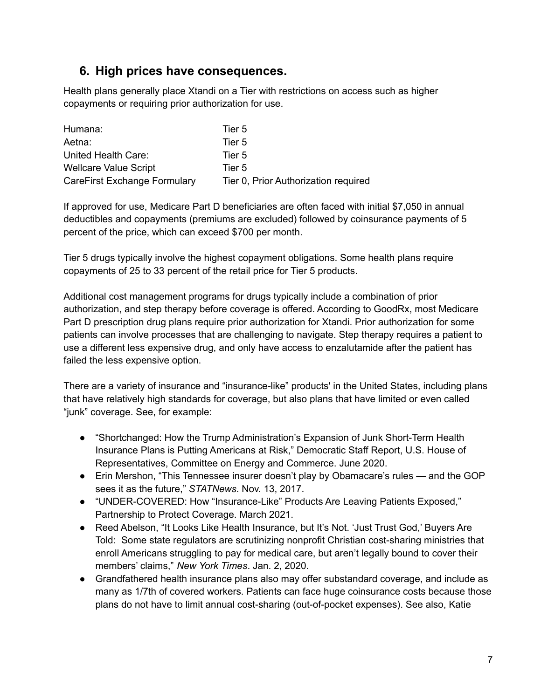### <span id="page-6-0"></span>**6. High prices have consequences.**

Health plans generally place Xtandi on a Tier with restrictions on access such as higher copayments or requiring prior authorization for use.

| Humana:                      | Tier 5                               |
|------------------------------|--------------------------------------|
| Aetna:                       | Tier 5                               |
| United Health Care:          | Tier 5                               |
| <b>Wellcare Value Script</b> | Tier 5                               |
| CareFirst Exchange Formulary | Tier 0, Prior Authorization required |

If approved for use, Medicare Part D beneficiaries are often faced with initial \$7,050 in annual deductibles and copayments (premiums are excluded) followed by coinsurance payments of 5 percent of the price, which can exceed \$700 per month.

Tier 5 drugs typically involve the highest copayment obligations. Some health plans require copayments of 25 to 33 percent of the retail price for Tier 5 products.

Additional cost management programs for drugs typically include a combination of prior authorization, and step therapy before coverage is offered. According to GoodRx, most Medicare Part D prescription drug plans require prior authorization for Xtandi. Prior authorization for some patients can involve processes that are challenging to navigate. Step therapy requires a patient to use a different less expensive drug, and only have access to enzalutamide after the patient has failed the less expensive option.

There are a variety of insurance and "insurance-like" products' in the United States, including plans that have relatively high standards for coverage, but also plans that have limited or even called "junk" coverage. See, for example:

- "Shortchanged: How the Trump Administration's Expansion of Junk Short-Term Health Insurance Plans is Putting Americans at Risk," Democratic Staff Report, U.S. House of Representatives, Committee on Energy and Commerce. June 2020.
- Erin Mershon, "This Tennessee insurer doesn't play by Obamacare's rules and the GOP sees it as the future," *STATNews*. Nov. 13, 2017.
- "UNDER-COVERED: How "Insurance-Like" Products Are Leaving Patients Exposed," Partnership to Protect Coverage. March 2021.
- Reed Abelson, "It Looks Like Health Insurance, but It's Not. 'Just Trust God,' Buyers Are Told: Some state regulators are scrutinizing nonprofit Christian cost-sharing ministries that enroll Americans struggling to pay for medical care, but aren't legally bound to cover their members' claims," *New York Times*. Jan. 2, 2020.
- Grandfathered health insurance plans also may offer substandard coverage, and include as many as 1/7th of covered workers. Patients can face huge coinsurance costs because those plans do not have to limit annual cost-sharing (out-of-pocket expenses). See also, Katie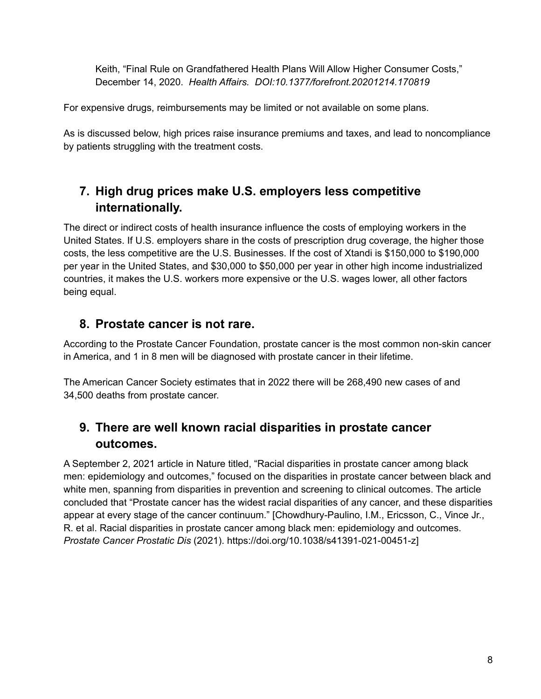Keith, "Final Rule on Grandfathered Health Plans Will Allow Higher Consumer Costs," December 14, 2020. *Health Affairs. DOI:10.1377/forefront.20201214.170819*

For expensive drugs, reimbursements may be limited or not available on some plans.

As is discussed below, high prices raise insurance premiums and taxes, and lead to noncompliance by patients struggling with the treatment costs.

## **7. High drug prices make U.S. employers less competitive internationally.**

<span id="page-7-0"></span>The direct or indirect costs of health insurance influence the costs of employing workers in the United States. If U.S. employers share in the costs of prescription drug coverage, the higher those costs, the less competitive are the U.S. Businesses. If the cost of Xtandi is \$150,000 to \$190,000 per year in the United States, and \$30,000 to \$50,000 per year in other high income industrialized countries, it makes the U.S. workers more expensive or the U.S. wages lower, all other factors being equal.

## <span id="page-7-1"></span>**8. Prostate cancer is not rare.**

According to the Prostate Cancer Foundation, prostate cancer is the most common non-skin cancer in America, and 1 in 8 men will be diagnosed with prostate cancer in their lifetime.

The American Cancer Society estimates that in 2022 there will be 268,490 new cases of and 34,500 deaths from prostate cancer.

## **9. There are well known racial disparities in prostate cancer outcomes.**

<span id="page-7-2"></span>A September 2, 2021 article in Nature titled, "Racial disparities in prostate cancer among black men: epidemiology and outcomes," focused on the disparities in prostate cancer between black and white men, spanning from disparities in prevention and screening to clinical outcomes. The article concluded that "Prostate cancer has the widest racial disparities of any cancer, and these disparities appear at every stage of the cancer continuum." [Chowdhury-Paulino, I.M., Ericsson, C., Vince Jr., R. et al. Racial disparities in prostate cancer among black men: epidemiology and outcomes. *Prostate Cancer Prostatic Dis* (2021). https://doi.org/10.1038/s41391-021-00451-z]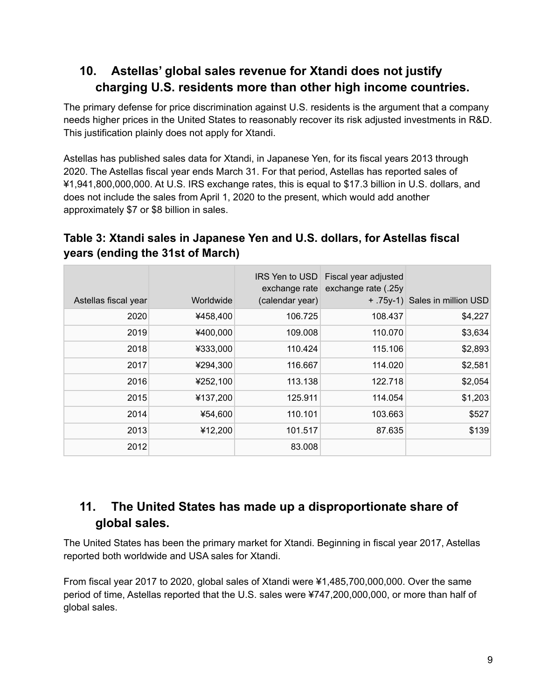## **10. Astellas' global sales revenue for Xtandi does not justify charging U.S. residents more than other high income countries.**

<span id="page-8-0"></span>The primary defense for price discrimination against U.S. residents is the argument that a company needs higher prices in the United States to reasonably recover its risk adjusted investments in R&D. This justification plainly does not apply for Xtandi.

Astellas has published sales data for Xtandi, in Japanese Yen, for its fiscal years 2013 through 2020. The Astellas fiscal year ends March 31. For that period, Astellas has reported sales of ¥1,941,800,000,000. At U.S. IRS exchange rates, this is equal to \$17.3 billion in U.S. dollars, and does not include the sales from April 1, 2020 to the present, which would add another approximately \$7 or \$8 billion in sales.

### <span id="page-8-1"></span>**Table 3: Xtandi sales in Japanese Yen and U.S. dollars, for Astellas fiscal years (ending the 31st of March)**

| Astellas fiscal year | Worldwide | exchange rate<br>(calendar year) | IRS Yen to USD Fiscal year adjusted<br>exchange rate (.25y | + .75y-1) Sales in million USD |
|----------------------|-----------|----------------------------------|------------------------------------------------------------|--------------------------------|
| 2020                 | ¥458,400  | 106.725                          | 108.437                                                    | \$4,227                        |
| 2019                 | ¥400,000  | 109.008                          | 110.070                                                    | \$3,634                        |
| 2018                 | ¥333,000  | 110.424                          | 115.106                                                    | \$2,893                        |
| 2017                 | ¥294,300  | 116.667                          | 114.020                                                    | \$2,581                        |
| 2016                 | ¥252,100  | 113.138                          | 122.718                                                    | \$2,054                        |
| 2015                 | ¥137,200  | 125.911                          | 114.054                                                    | \$1,203                        |
| 2014                 | ¥54,600   | 110.101                          | 103.663                                                    | \$527                          |
| 2013                 | ¥12,200   | 101.517                          | 87.635                                                     | \$139                          |
| 2012                 |           | 83.008                           |                                                            |                                |

## **11. The United States has made up a disproportionate share of global sales.**

<span id="page-8-2"></span>The United States has been the primary market for Xtandi. Beginning in fiscal year 2017, Astellas reported both worldwide and USA sales for Xtandi.

From fiscal year 2017 to 2020, global sales of Xtandi were ¥1,485,700,000,000. Over the same period of time, Astellas reported that the U.S. sales were ¥747,200,000,000, or more than half of global sales.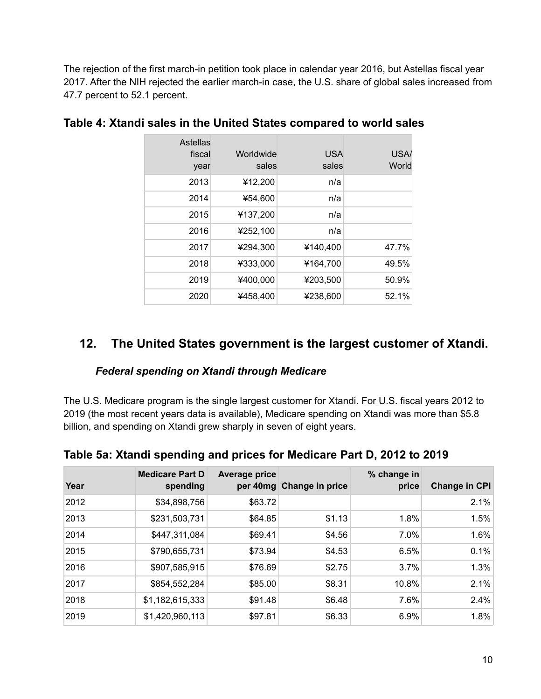The rejection of the first march-in petition took place in calendar year 2016, but Astellas fiscal year 2017. After the NIH rejected the earlier march-in case, the U.S. share of global sales increased from 47.7 percent to 52.1 percent.

| Astellas<br>fiscal<br>year | Worldwide<br>sales | <b>USA</b><br>sales | USA/<br>World |
|----------------------------|--------------------|---------------------|---------------|
| 2013                       | ¥12,200            | n/a                 |               |
| 2014                       | ¥54,600            | n/a                 |               |
| 2015                       | ¥137,200           | n/a                 |               |
| 2016                       | ¥252,100           | n/a                 |               |
| 2017                       | ¥294,300           | ¥140,400            | 47.7%         |
| 2018                       | ¥333,000           | ¥164,700            | 49.5%         |
| 2019                       | ¥400,000           | ¥203,500            | 50.9%         |
| 2020                       | ¥458,400           | ¥238,600            | 52.1%         |

#### <span id="page-9-0"></span>**Table 4: Xtandi sales in the United States compared to world sales**

### <span id="page-9-2"></span><span id="page-9-1"></span>**12. The United States government is the largest customer of Xtandi.**

#### *Federal spending on Xtandi through Medicare*

The U.S. Medicare program is the single largest customer for Xtandi. For U.S. fiscal years 2012 to 2019 (the most recent years data is available), Medicare spending on Xtandi was more than \$5.8 billion, and spending on Xtandi grew sharply in seven of eight years.

| Year | <b>Medicare Part D</b><br>spending | <b>Average price</b> | per 40mg Change in price | % change in<br>price | <b>Change in CPI</b> |
|------|------------------------------------|----------------------|--------------------------|----------------------|----------------------|
| 2012 | \$34,898,756                       | \$63.72              |                          |                      | 2.1%                 |
| 2013 | \$231,503,731                      | \$64.85              | \$1.13                   | 1.8%                 | 1.5%                 |
| 2014 | \$447,311,084                      | \$69.41              | \$4.56                   | 7.0%                 | 1.6%                 |
| 2015 | \$790,655,731                      | \$73.94              | \$4.53                   | 6.5%                 | 0.1%                 |
| 2016 | \$907,585,915                      | \$76.69              | \$2.75                   | 3.7%                 | 1.3%                 |
| 2017 | \$854,552,284                      | \$85.00              | \$8.31                   | 10.8%                | 2.1%                 |
| 2018 | \$1,182,615,333                    | \$91.48              | \$6.48                   | 7.6%                 | 2.4%                 |
| 2019 | \$1,420,960,113                    | \$97.81              | \$6.33                   | 6.9%                 | 1.8%                 |

### <span id="page-9-3"></span>**Table 5a: Xtandi spending and prices for Medicare Part D, 2012 to 2019**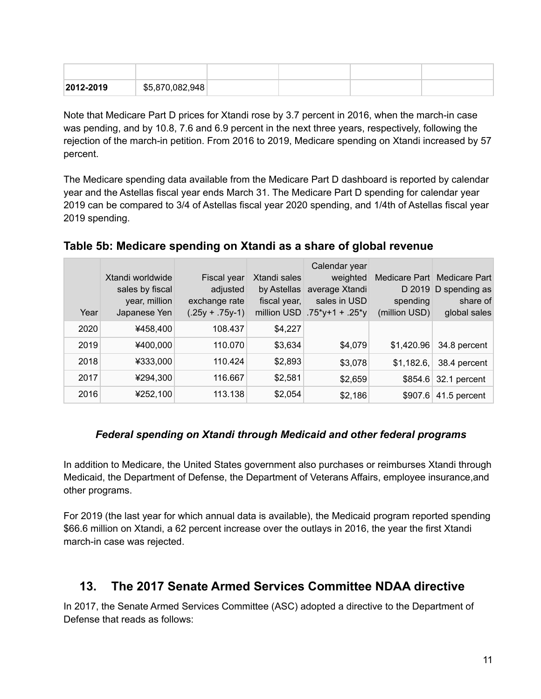| 2012-2019 | \$5,870,082,948 |  |  |
|-----------|-----------------|--|--|

Note that Medicare Part D prices for Xtandi rose by 3.7 percent in 2016, when the march-in case was pending, and by 10.8, 7.6 and 6.9 percent in the next three years, respectively, following the rejection of the march-in petition. From 2016 to 2019, Medicare spending on Xtandi increased by 57 percent.

The Medicare spending data available from the Medicare Part D dashboard is reported by calendar year and the Astellas fiscal year ends March 31. The Medicare Part D spending for calendar year 2019 can be compared to 3/4 of Astellas fiscal year 2020 spending, and 1/4th of Astellas fiscal year 2019 spending.

|      |                  |                   |              | Calendar year       |               |                             |
|------|------------------|-------------------|--------------|---------------------|---------------|-----------------------------|
|      | Xtandi worldwide | Fiscal year       | Xtandi sales | weighted            |               | Medicare Part Medicare Part |
|      | sales by fiscal  | adjusted          | by Astellas  | average Xtandi      |               | D 2019 D spending as        |
|      | year, million    | exchange rate     | fiscal year, | sales in USD        | spending      | share of                    |
| Year | Japanese Yen     | $(.25y + .75y-1)$ | million USD  | $.75^*$ y+1 + .25*y | (million USD) | global sales                |
| 2020 | ¥458,400         | 108.437           | \$4,227      |                     |               |                             |
| 2019 | ¥400,000         | 110.070           | \$3,634      | \$4,079             | \$1,420.96    | 34.8 percent                |
| 2018 | ¥333,000         | 110.424           | \$2,893      | \$3,078             | \$1,182.6,    | 38.4 percent                |
| 2017 | ¥294,300         | 116.667           | \$2,581      | \$2,659             | \$854.6       | 32.1 percent                |
| 2016 | ¥252,100         | 113.138           | \$2,054      | \$2,186             | \$907.6       | 41.5 percent                |

### <span id="page-10-0"></span>**Table 5b: Medicare spending on Xtandi as a share of global revenue**

#### <span id="page-10-1"></span>*Federal spending on Xtandi through Medicaid and other federal programs*

In addition to Medicare, the United States government also purchases or reimburses Xtandi through Medicaid, the Department of Defense, the Department of Veterans Affairs, employee insurance,and other programs.

For 2019 (the last year for which annual data is available), the Medicaid program reported spending \$66.6 million on Xtandi, a 62 percent increase over the outlays in 2016, the year the first Xtandi march-in case was rejected.

### <span id="page-10-2"></span>**13. The 2017 Senate Armed Services Committee NDAA directive**

In 2017, the Senate Armed Services Committee (ASC) adopted a directive to the Department of Defense that reads as follows: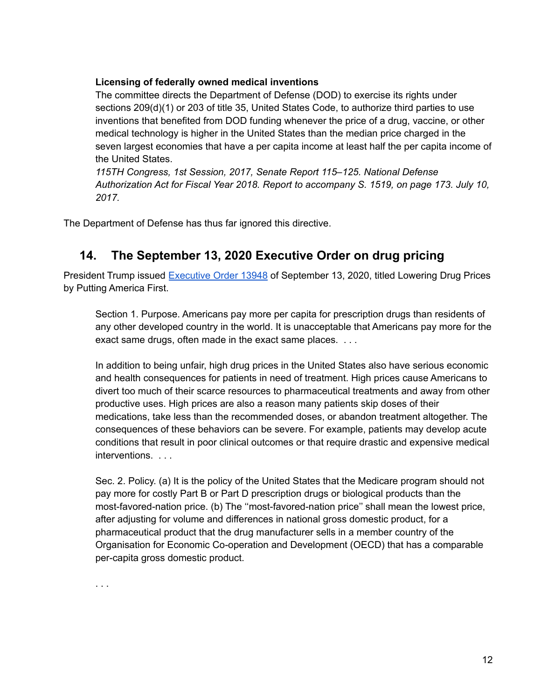#### **Licensing of federally owned medical inventions**

The committee directs the Department of Defense (DOD) to exercise its rights under sections 209(d)(1) or 203 of title 35, United States Code, to authorize third parties to use inventions that benefited from DOD funding whenever the price of a drug, vaccine, or other medical technology is higher in the United States than the median price charged in the seven largest economies that have a per capita income at least half the per capita income of the United States.

*115TH Congress, 1st Session, 2017, Senate Report 115–125. National Defense Authorization Act for Fiscal Year 2018. Report to accompany S. 1519, on page 173. July 10, 2017.*

<span id="page-11-0"></span>The Department of Defense has thus far ignored this directive.

### **14. The September 13, 2020 Executive Order on drug pricing**

President Trump issued [Executive](https://www.govinfo.gov/content/pkg/FR-2020-09-23/pdf/2020-21129.pdf) Order 13948 of September 13, 2020, titled Lowering Drug Prices by Putting America First.

Section 1. Purpose. Americans pay more per capita for prescription drugs than residents of any other developed country in the world. It is unacceptable that Americans pay more for the exact same drugs, often made in the exact same places. . . .

In addition to being unfair, high drug prices in the United States also have serious economic and health consequences for patients in need of treatment. High prices cause Americans to divert too much of their scarce resources to pharmaceutical treatments and away from other productive uses. High prices are also a reason many patients skip doses of their medications, take less than the recommended doses, or abandon treatment altogether. The consequences of these behaviors can be severe. For example, patients may develop acute conditions that result in poor clinical outcomes or that require drastic and expensive medical interventions. . . .

Sec. 2. Policy. (a) It is the policy of the United States that the Medicare program should not pay more for costly Part B or Part D prescription drugs or biological products than the most-favored-nation price. (b) The ''most-favored-nation price'' shall mean the lowest price, after adjusting for volume and differences in national gross domestic product, for a pharmaceutical product that the drug manufacturer sells in a member country of the Organisation for Economic Co-operation and Development (OECD) that has a comparable per-capita gross domestic product.

. . .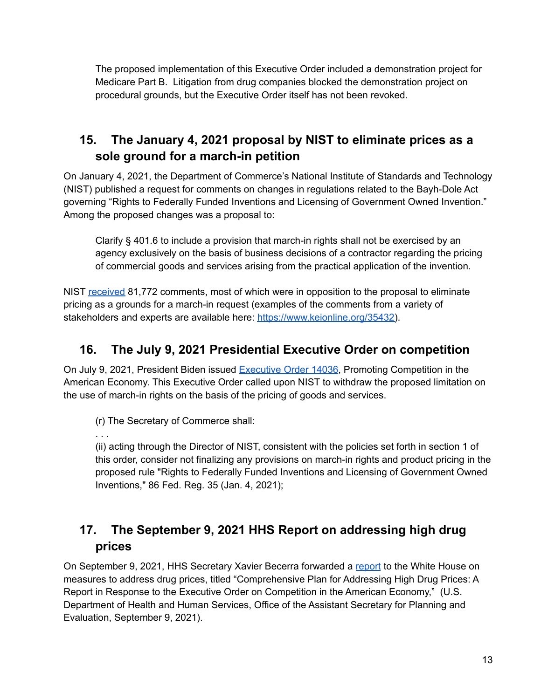The proposed implementation of this Executive Order included a demonstration project for Medicare Part B. Litigation from drug companies blocked the demonstration project on procedural grounds, but the Executive Order itself has not been revoked.

## **15. The January 4, 2021 proposal by NIST to eliminate prices as a sole ground for a march-in petition**

<span id="page-12-0"></span>On January 4, 2021, the Department of Commerce's National Institute of Standards and Technology (NIST) published a request for comments on changes in regulations related to the Bayh-Dole Act governing "Rights to Federally Funded Inventions and Licensing of Government Owned Invention." Among the proposed changes was a proposal to:

Clarify § 401.6 to include a provision that march-in rights shall not be exercised by an agency exclusively on the basis of business decisions of a contractor regarding the pricing of commercial goods and services arising from the practical application of the invention.

NIST [received](https://www.regulations.gov/docket/NIST-2021-0001) 81,772 comments, most of which were in opposition to the proposal to eliminate pricing as a grounds for a march-in request (examples of the comments from a variety of stakeholders and experts are available here: [https://www.keionline.org/35432\)](https://www.keionline.org/35432).

## <span id="page-12-1"></span>**16. The July 9, 2021 Presidential Executive Order on competition**

On July 9, 2021, President Biden issued [Executive](https://www.govinfo.gov/app/details/DCPD-202100578) Order 14036, Promoting Competition in the American Economy. This Executive Order called upon NIST to withdraw the proposed limitation on the use of march-in rights on the basis of the pricing of goods and services.

(r) The Secretary of Commerce shall:

. . .

(ii) acting through the Director of NIST, consistent with the policies set forth in section 1 of this order, consider not finalizing any provisions on march-in rights and product pricing in the proposed rule "Rights to Federally Funded Inventions and Licensing of Government Owned Inventions," 86 Fed. Reg. 35 (Jan. 4, 2021);

## **17. The September 9, 2021 HHS Report on addressing high drug prices**

<span id="page-12-2"></span>On September 9, 2021, HHS Secretary Xavier Becerra forwarded a [report](https://aspe.hhs.gov/sites/default/files/2021-09/Drug_Pricing_Plan_9-9-2021.pdf) to the White House on measures to address drug prices, titled "Comprehensive Plan for Addressing High Drug Prices: A Report in Response to the Executive Order on Competition in the American Economy," (U.S. Department of Health and Human Services, Office of the Assistant Secretary for Planning and Evaluation, September 9, 2021).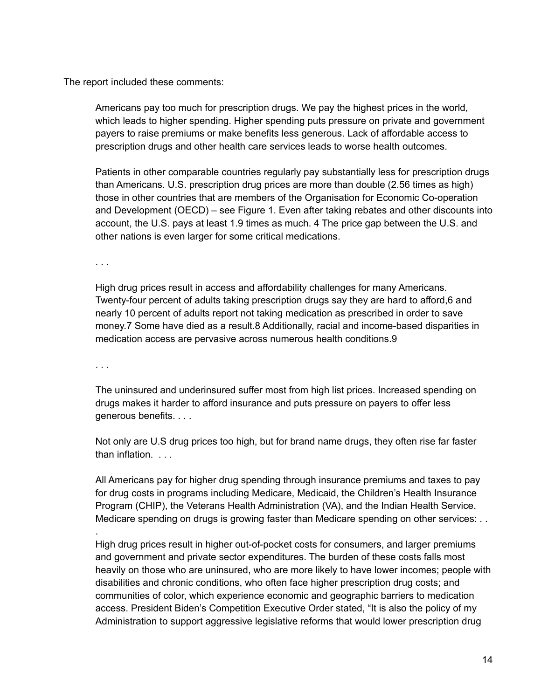The report included these comments:

Americans pay too much for prescription drugs. We pay the highest prices in the world, which leads to higher spending. Higher spending puts pressure on private and government payers to raise premiums or make benefits less generous. Lack of affordable access to prescription drugs and other health care services leads to worse health outcomes.

Patients in other comparable countries regularly pay substantially less for prescription drugs than Americans. U.S. prescription drug prices are more than double (2.56 times as high) those in other countries that are members of the Organisation for Economic Co-operation and Development (OECD) – see Figure 1. Even after taking rebates and other discounts into account, the U.S. pays at least 1.9 times as much. 4 The price gap between the U.S. and other nations is even larger for some critical medications.

. . .

High drug prices result in access and affordability challenges for many Americans. Twenty-four percent of adults taking prescription drugs say they are hard to afford,6 and nearly 10 percent of adults report not taking medication as prescribed in order to save money.7 Some have died as a result.8 Additionally, racial and income-based disparities in medication access are pervasive across numerous health conditions.9

. . .

.

The uninsured and underinsured suffer most from high list prices. Increased spending on drugs makes it harder to afford insurance and puts pressure on payers to offer less generous benefits. . . .

Not only are U.S drug prices too high, but for brand name drugs, they often rise far faster than inflation. . . .

All Americans pay for higher drug spending through insurance premiums and taxes to pay for drug costs in programs including Medicare, Medicaid, the Children's Health Insurance Program (CHIP), the Veterans Health Administration (VA), and the Indian Health Service. Medicare spending on drugs is growing faster than Medicare spending on other services: . .

High drug prices result in higher out-of-pocket costs for consumers, and larger premiums and government and private sector expenditures. The burden of these costs falls most heavily on those who are uninsured, who are more likely to have lower incomes; people with disabilities and chronic conditions, who often face higher prescription drug costs; and communities of color, which experience economic and geographic barriers to medication access. President Biden's Competition Executive Order stated, "It is also the policy of my Administration to support aggressive legislative reforms that would lower prescription drug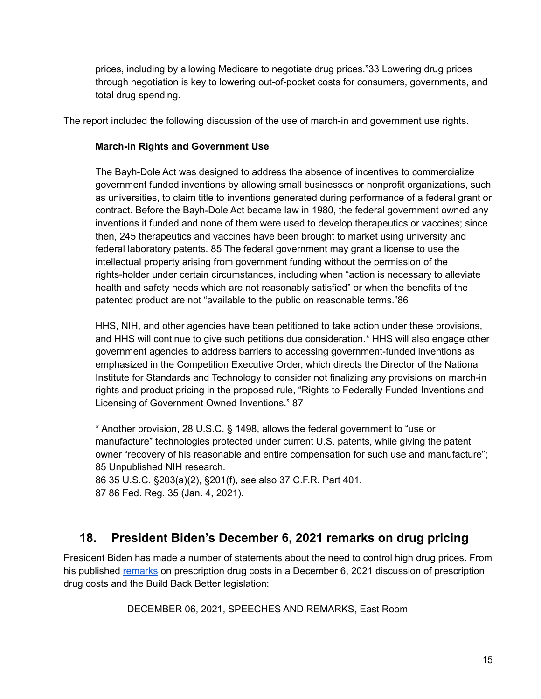prices, including by allowing Medicare to negotiate drug prices."33 Lowering drug prices through negotiation is key to lowering out-of-pocket costs for consumers, governments, and total drug spending.

The report included the following discussion of the use of march-in and government use rights.

#### **March-In Rights and Government Use**

The Bayh-Dole Act was designed to address the absence of incentives to commercialize government funded inventions by allowing small businesses or nonprofit organizations, such as universities, to claim title to inventions generated during performance of a federal grant or contract. Before the Bayh-Dole Act became law in 1980, the federal government owned any inventions it funded and none of them were used to develop therapeutics or vaccines; since then, 245 therapeutics and vaccines have been brought to market using university and federal laboratory patents. 85 The federal government may grant a license to use the intellectual property arising from government funding without the permission of the rights-holder under certain circumstances, including when "action is necessary to alleviate health and safety needs which are not reasonably satisfied" or when the benefits of the patented product are not "available to the public on reasonable terms."86

HHS, NIH, and other agencies have been petitioned to take action under these provisions, and HHS will continue to give such petitions due consideration.\* HHS will also engage other government agencies to address barriers to accessing government-funded inventions as emphasized in the Competition Executive Order, which directs the Director of the National Institute for Standards and Technology to consider not finalizing any provisions on march-in rights and product pricing in the proposed rule, "Rights to Federally Funded Inventions and Licensing of Government Owned Inventions." 87

\* Another provision, 28 U.S.C. § 1498, allows the federal government to "use or manufacture" technologies protected under current U.S. patents, while giving the patent owner "recovery of his reasonable and entire compensation for such use and manufacture"; 85 Unpublished NIH research.

86 35 U.S.C. §203(a)(2), §201(f), see also 37 C.F.R. Part 401. 87 86 Fed. Reg. 35 (Jan. 4, 2021).

### <span id="page-14-0"></span>**18. President Biden's December 6, 2021 remarks on drug pricing**

President Biden has made a number of statements about the need to control high drug prices. From his published [remarks](https://www.whitehouse.gov/briefing-room/speeches-remarks/2021/12/06/remarks-by-president-biden-on-prescription-drug-costs/) on prescription drug costs in a December 6, 2021 discussion of prescription drug costs and the Build Back Better legislation:

DECEMBER 06, 2021, SPEECHES AND REMARKS, East Room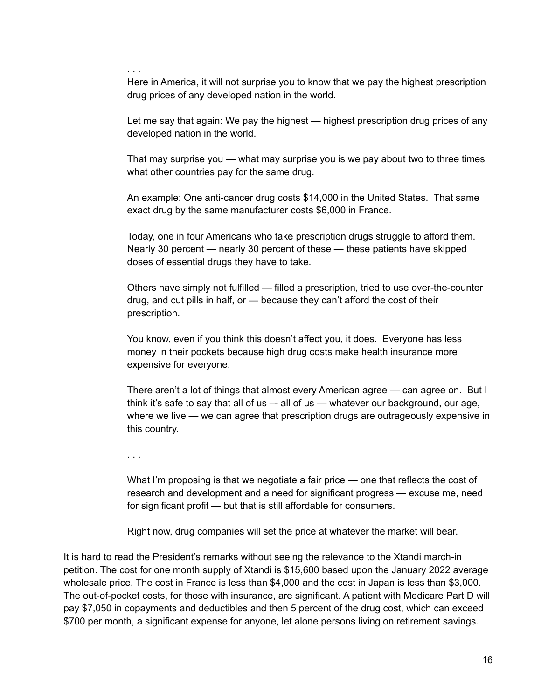. . .

Here in America, it will not surprise you to know that we pay the highest prescription drug prices of any developed nation in the world.

Let me say that again: We pay the highest — highest prescription drug prices of any developed nation in the world.

That may surprise you — what may surprise you is we pay about two to three times what other countries pay for the same drug.

An example: One anti-cancer drug costs \$14,000 in the United States. That same exact drug by the same manufacturer costs \$6,000 in France.

Today, one in four Americans who take prescription drugs struggle to afford them. Nearly 30 percent — nearly 30 percent of these — these patients have skipped doses of essential drugs they have to take.

Others have simply not fulfilled — filled a prescription, tried to use over-the-counter drug, and cut pills in half, or — because they can't afford the cost of their prescription.

You know, even if you think this doesn't affect you, it does. Everyone has less money in their pockets because high drug costs make health insurance more expensive for everyone.

There aren't a lot of things that almost every American agree — can agree on. But I think it's safe to say that all of us –- all of us — whatever our background, our age, where we live — we can agree that prescription drugs are outrageously expensive in this country.

. . .

What I'm proposing is that we negotiate a fair price — one that reflects the cost of research and development and a need for significant progress — excuse me, need for significant profit — but that is still affordable for consumers.

Right now, drug companies will set the price at whatever the market will bear.

It is hard to read the President's remarks without seeing the relevance to the Xtandi march-in petition. The cost for one month supply of Xtandi is \$15,600 based upon the January 2022 average wholesale price. The cost in France is less than \$4,000 and the cost in Japan is less than \$3,000. The out-of-pocket costs, for those with insurance, are significant. A patient with Medicare Part D will pay \$7,050 in copayments and deductibles and then 5 percent of the drug cost, which can exceed \$700 per month, a significant expense for anyone, let alone persons living on retirement savings.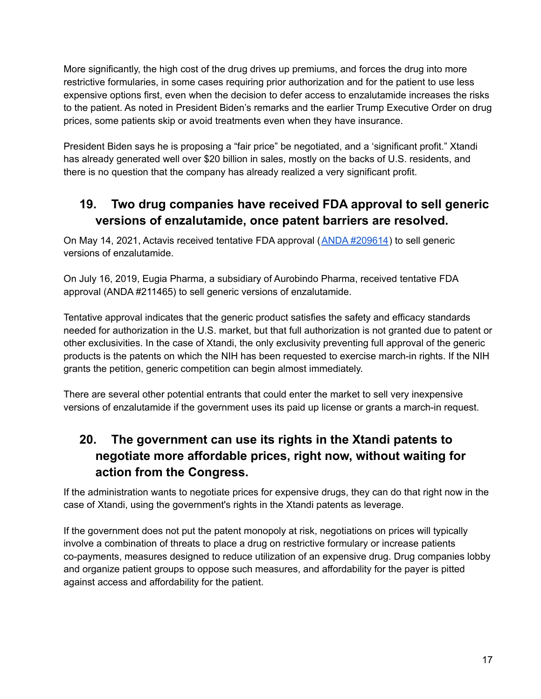More significantly, the high cost of the drug drives up premiums, and forces the drug into more restrictive formularies, in some cases requiring prior authorization and for the patient to use less expensive options first, even when the decision to defer access to enzalutamide increases the risks to the patient. As noted in President Biden's remarks and the earlier Trump Executive Order on drug prices, some patients skip or avoid treatments even when they have insurance.

President Biden says he is proposing a "fair price" be negotiated, and a 'significant profit." Xtandi has already generated well over \$20 billion in sales, mostly on the backs of U.S. residents, and there is no question that the company has already realized a very significant profit.

## **19. Two drug companies have received FDA approval to sell generic versions of enzalutamide, once patent barriers are resolved.**

<span id="page-16-0"></span>On May 14, 2021, Actavis received tentative FDA approval (ANDA [#209614](https://www.accessdata.fda.gov/scripts/cder/daf/index.cfm?event=overview.process&ApplNo=209614)) to sell generic versions of enzalutamide.

On July 16, 2019, Eugia Pharma, a subsidiary of Aurobindo Pharma, received tentative FDA approval (ANDA #211465) to sell generic versions of enzalutamide.

Tentative approval indicates that the generic product satisfies the safety and efficacy standards needed for authorization in the U.S. market, but that full authorization is not granted due to patent or other exclusivities. In the case of Xtandi, the only exclusivity preventing full approval of the generic products is the patents on which the NIH has been requested to exercise march-in rights. If the NIH grants the petition, generic competition can begin almost immediately.

There are several other potential entrants that could enter the market to sell very inexpensive versions of enzalutamide if the government uses its paid up license or grants a march-in request.

## **20. The government can use its rights in the Xtandi patents to negotiate more affordable prices, right now, without waiting for action from the Congress.**

<span id="page-16-1"></span>If the administration wants to negotiate prices for expensive drugs, they can do that right now in the case of Xtandi, using the government's rights in the Xtandi patents as leverage.

If the government does not put the patent monopoly at risk, negotiations on prices will typically involve a combination of threats to place a drug on restrictive formulary or increase patients co-payments, measures designed to reduce utilization of an expensive drug. Drug companies lobby and organize patient groups to oppose such measures, and affordability for the payer is pitted against access and affordability for the patient.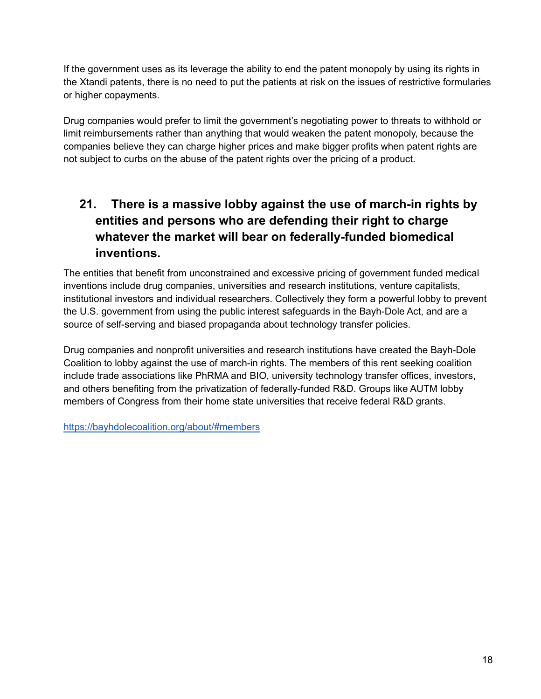If the government uses as its leverage the ability to end the patent monopoly by using its rights in the Xtandi patents, there is no need to put the patients at risk on the issues of restrictive formularies or higher copayments.

Drug companies would prefer to limit the government's negotiating power to threats to withhold or limit reimbursements rather than anything that would weaken the patent monopoly, because the companies believe they can charge higher prices and make bigger profits when patent rights are not subject to curbs on the abuse of the patent rights over the pricing of a product.

## **21. There is a massive lobby against the use of march-in rights by entities and persons who are defending their right to charge whatever the market will bear on federally-funded biomedical inventions.**

<span id="page-17-0"></span>The entities that benefit from unconstrained and excessive pricing of government funded medical inventions include drug companies, universities and research institutions, venture capitalists, institutional investors and individual researchers. Collectively they form a powerful lobby to prevent the U.S. government from using the public interest safeguards in the Bayh-Dole Act, and are a source of self-serving and biased propaganda about technology transfer policies.

Drug companies and nonprofit universities and research institutions have created the Bayh-Dole Coalition to lobby against the use of march-in rights. The members of this rent seeking coalition include trade associations like PhRMA and BIO, university technology transfer offices, investors, and others benefiting from the privatization of federally-funded R&D. Groups like AUTM lobby members of Congress from their home state universities that receive federal R&D grants.

<https://bayhdolecoalition.org/about/#members>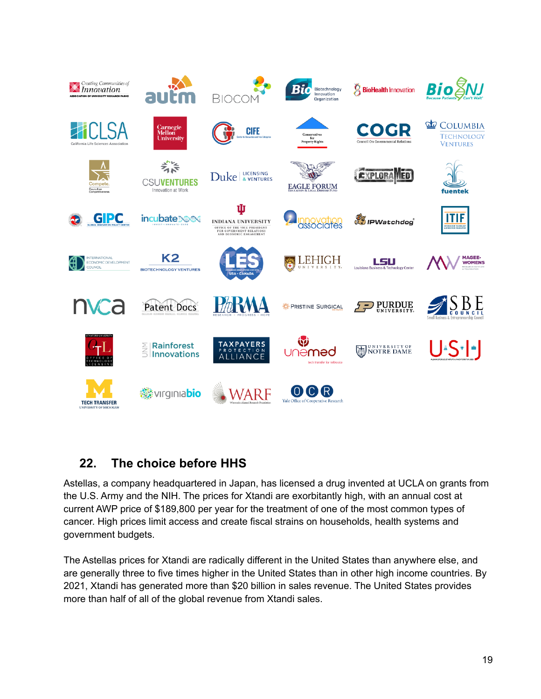

## <span id="page-18-0"></span>**22. The choice before HHS**

Astellas, a company headquartered in Japan, has licensed a drug invented at UCLA on grants from the U.S. Army and the NIH. The prices for Xtandi are exorbitantly high, with an annual cost at current AWP price of \$189,800 per year for the treatment of one of the most common types of cancer. High prices limit access and create fiscal strains on households, health systems and government budgets.

The Astellas prices for Xtandi are radically different in the United States than anywhere else, and are generally three to five times higher in the United States than in other high income countries. By 2021, Xtandi has generated more than \$20 billion in sales revenue. The United States provides more than half of all of the global revenue from Xtandi sales.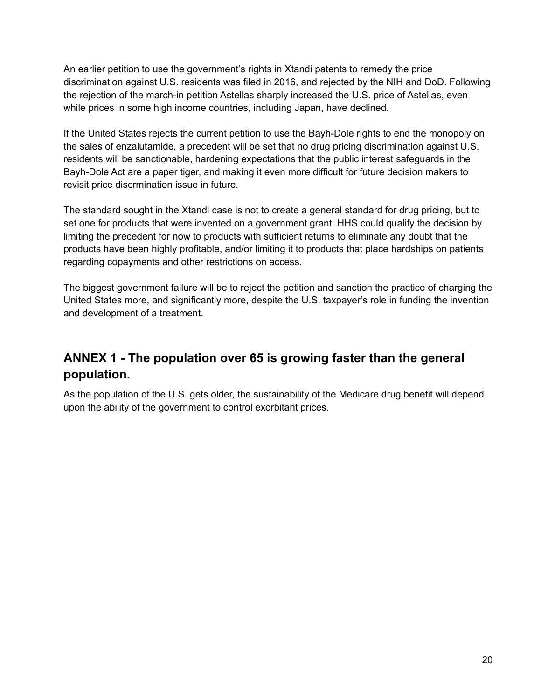An earlier petition to use the government's rights in Xtandi patents to remedy the price discrimination against U.S. residents was filed in 2016, and rejected by the NIH and DoD. Following the rejection of the march-in petition Astellas sharply increased the U.S. price of Astellas, even while prices in some high income countries, including Japan, have declined.

If the United States rejects the current petition to use the Bayh-Dole rights to end the monopoly on the sales of enzalutamide, a precedent will be set that no drug pricing discrimination against U.S. residents will be sanctionable, hardening expectations that the public interest safeguards in the Bayh-Dole Act are a paper tiger, and making it even more difficult for future decision makers to revisit price discrmination issue in future.

The standard sought in the Xtandi case is not to create a general standard for drug pricing, but to set one for products that were invented on a government grant. HHS could qualify the decision by limiting the precedent for now to products with sufficient returns to eliminate any doubt that the products have been highly profitable, and/or limiting it to products that place hardships on patients regarding copayments and other restrictions on access.

The biggest government failure will be to reject the petition and sanction the practice of charging the United States more, and significantly more, despite the U.S. taxpayer's role in funding the invention and development of a treatment.

## <span id="page-19-0"></span>**ANNEX 1 - The population over 65 is growing faster than the general population.**

As the population of the U.S. gets older, the sustainability of the Medicare drug benefit will depend upon the ability of the government to control exorbitant prices.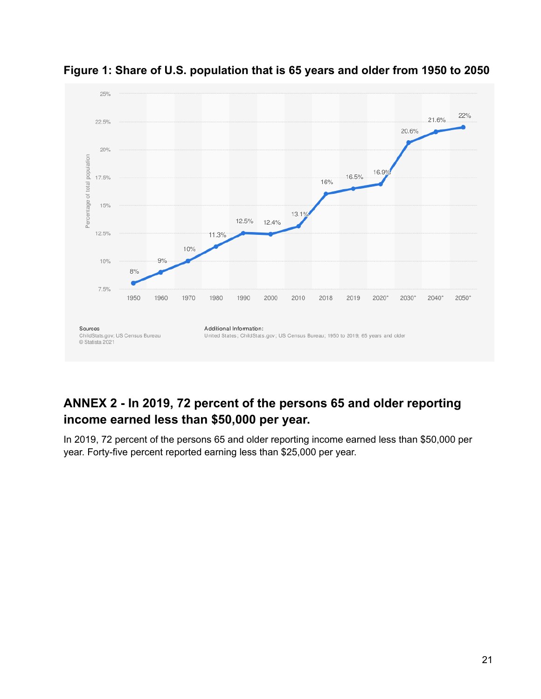

<span id="page-20-0"></span>

## <span id="page-20-1"></span>**ANNEX 2 - In 2019, 72 percent of the persons 65 and older reporting income earned less than \$50,000 per year.**

In 2019, 72 percent of the persons 65 and older reporting income earned less than \$50,000 per year. Forty-five percent reported earning less than \$25,000 per year.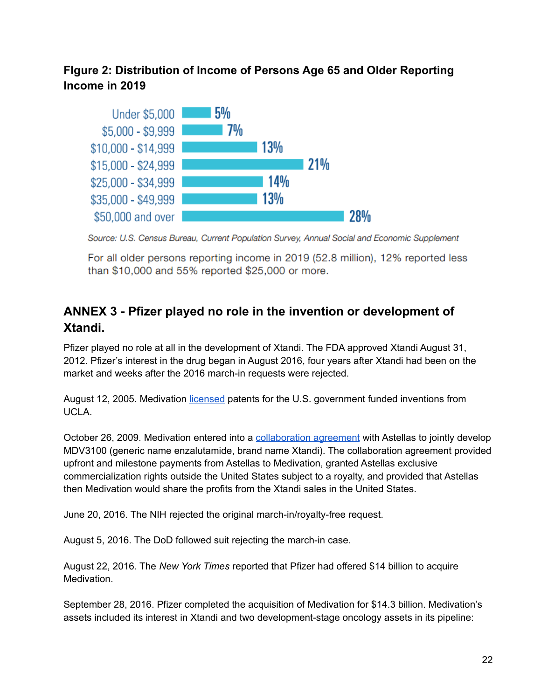### <span id="page-21-0"></span>**FIgure 2: Distribution of Income of Persons Age 65 and Older Reporting Income in 2019**



Source: U.S. Census Bureau, Current Population Survey, Annual Social and Economic Supplement

For all older persons reporting income in 2019 (52.8 million), 12% reported less than \$10,000 and 55% reported \$25,000 or more.

## <span id="page-21-1"></span>**ANNEX 3 - Pfizer played no role in the invention or development of Xtandi.**

Pfizer played no role at all in the development of Xtandi. The FDA approved Xtandi August 31, 2012. Pfizer's interest in the drug began in August 2016, four years after Xtandi had been on the market and weeks after the 2016 march-in requests were rejected.

August 12, 2005. Medivation [licensed](https://www.sec.gov/Archives/edgar/data/1011835/000119312505197811/dex1010.htm) patents for the U.S. government funded inventions from UCLA.

October 26, 2009. Medivation entered into a [collaboration](https://www.sec.gov/Archives/edgar/data/1011835/000119312510057020/dex1015.htm) agreement with Astellas to jointly develop MDV3100 (generic name enzalutamide, brand name Xtandi). The collaboration agreement provided upfront and milestone payments from Astellas to Medivation, granted Astellas exclusive commercialization rights outside the United States subject to a royalty, and provided that Astellas then Medivation would share the profits from the Xtandi sales in the United States.

June 20, 2016. The NIH rejected the original march-in/royalty-free request.

August 5, 2016. The DoD followed suit rejecting the march-in case.

August 22, 2016. The *New York Times* reported that Pfizer had offered \$14 billion to acquire Medivation.

September 28, 2016. Pfizer completed the acquisition of Medivation for \$14.3 billion. Medivation's assets included its interest in Xtandi and two development-stage oncology assets in its pipeline: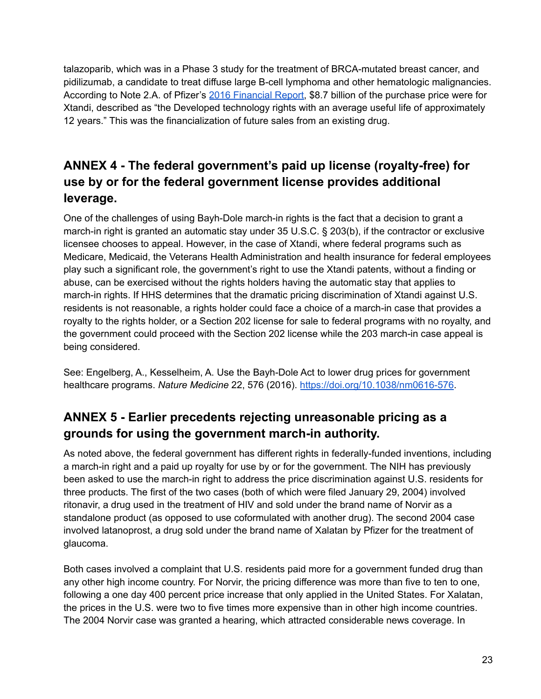talazoparib, which was in a Phase 3 study for the treatment of BRCA-mutated breast cancer, and pidilizumab, a candidate to treat diffuse large B-cell lymphoma and other hematologic malignancies. According to Note 2.A. of Pfizer's 2016 [Financial](https://www.sec.gov/Archives/edgar/data/0000078003/000007800317000014/pfe-12312016x10kexhibit13.htm) Report, \$8.7 billion of the purchase price were for Xtandi, described as "the Developed technology rights with an average useful life of approximately 12 years." This was the financialization of future sales from an existing drug.

## **ANNEX 4 - The federal government's paid up license (royalty-free) for use by or for the federal government license provides additional leverage.**

<span id="page-22-0"></span>One of the challenges of using Bayh-Dole march-in rights is the fact that a decision to grant a march-in right is granted an automatic stay under 35 U.S.C. § 203(b), if the contractor or exclusive licensee chooses to appeal. However, in the case of Xtandi, where federal programs such as Medicare, Medicaid, the Veterans Health Administration and health insurance for federal employees play such a significant role, the government's right to use the Xtandi patents, without a finding or abuse, can be exercised without the rights holders having the automatic stay that applies to march-in rights. If HHS determines that the dramatic pricing discrimination of Xtandi against U.S. residents is not reasonable, a rights holder could face a choice of a march-in case that provides a royalty to the rights holder, or a Section 202 license for sale to federal programs with no royalty, and the government could proceed with the Section 202 license while the 203 march-in case appeal is being considered.

See: Engelberg, A., Kesselheim, A. Use the Bayh-Dole Act to lower drug prices for government healthcare programs. *Nature Medicine* 22, 576 (2016). [https://doi.org/10.1038/nm0616-576.](https://doi.org/10.1038/nm0616-576)

## <span id="page-22-1"></span>**ANNEX 5 - Earlier precedents rejecting unreasonable pricing as a grounds for using the government march-in authority.**

As noted above, the federal government has different rights in federally-funded inventions, including a march-in right and a paid up royalty for use by or for the government. The NIH has previously been asked to use the march-in right to address the price discrimination against U.S. residents for three products. The first of the two cases (both of which were filed January 29, 2004) involved ritonavir, a drug used in the treatment of HIV and sold under the brand name of Norvir as a standalone product (as opposed to use coformulated with another drug). The second 2004 case involved latanoprost, a drug sold under the brand name of Xalatan by Pfizer for the treatment of glaucoma.

Both cases involved a complaint that U.S. residents paid more for a government funded drug than any other high income country. For Norvir, the pricing difference was more than five to ten to one, following a one day 400 percent price increase that only applied in the United States. For Xalatan, the prices in the U.S. were two to five times more expensive than in other high income countries. The 2004 Norvir case was granted a hearing, which attracted considerable news coverage. In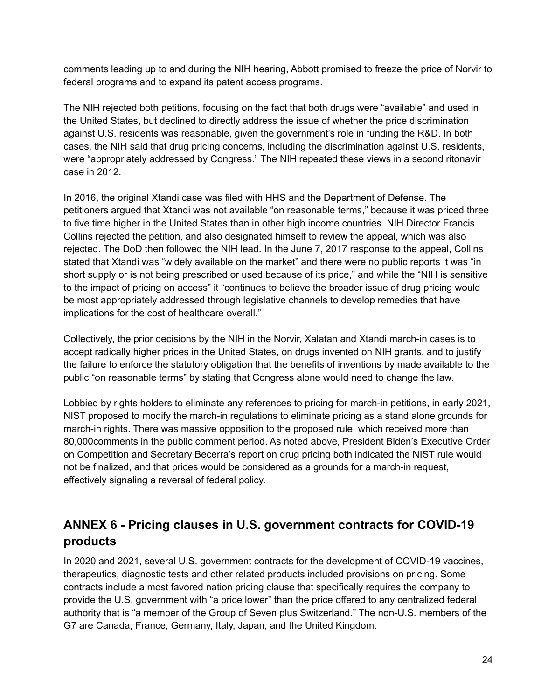comments leading up to and during the NIH hearing, Abbott promised to freeze the price of Norvir to federal programs and to expand its patent access programs.

The NIH rejected both petitions, focusing on the fact that both drugs were "available" and used in the United States, but declined to directly address the issue of whether the price discrimination against U.S. residents was reasonable, given the government's role in funding the R&D. In both cases, the NIH said that drug pricing concerns, including the discrimination against U.S. residents, were "appropriately addressed by Congress." The NIH repeated these views in a second ritonavir case in 2012.

In 2016, the original Xtandi case was filed with HHS and the Department of Defense. The petitioners argued that Xtandi was not available "on reasonable terms," because it was priced three to five time higher in the United States than in other high income countries. NIH Director Francis Collins rejected the petition, and also designated himself to review the appeal, which was also rejected. The DoD then followed the NIH lead. In the June 7, 2017 response to the appeal, Collins stated that Xtandi was "widely available on the market" and there were no public reports it was "in short supply or is not being prescribed or used because of its price," and while the "NIH is sensitive to the impact of pricing on access" it "continues to believe the broader issue of drug pricing would be most appropriately addressed through legislative channels to develop remedies that have implications for the cost of healthcare overall."

Collectively, the prior decisions by the NIH in the Norvir, Xalatan and Xtandi march-in cases is to accept radically higher prices in the United States, on drugs invented on NIH grants, and to justify the failure to enforce the statutory obligation that the benefits of inventions by made available to the public "on reasonable terms" by stating that Congress alone would need to change the law.

Lobbied by rights holders to eliminate any references to pricing for march-in petitions, in early 2021, NIST proposed to modify the march-in regulations to eliminate pricing as a stand alone grounds for march-in rights. There was massive opposition to the proposed rule, which received more than 80,000comments in the public comment period. As noted above, President Biden's Executive Order on Competition and Secretary Becerra's report on drug pricing both indicated the NIST rule would not be finalized, and that prices would be considered as a grounds for a march-in request, effectively signaling a reversal of federal policy.

## <span id="page-23-0"></span>**ANNEX 6 - Pricing clauses in U.S. government contracts for COVID-19 products**

In 2020 and 2021, several U.S. government contracts for the development of COVID-19 vaccines, therapeutics, diagnostic tests and other related products included provisions on pricing. Some contracts include a most favored nation pricing clause that specifically requires the company to provide the U.S. government with "a price lower" than the price offered to any centralized federal authority that is "a member of the Group of Seven plus Switzerland." The non-U.S. members of the G7 are Canada, France, Germany, Italy, Japan, and the United Kingdom.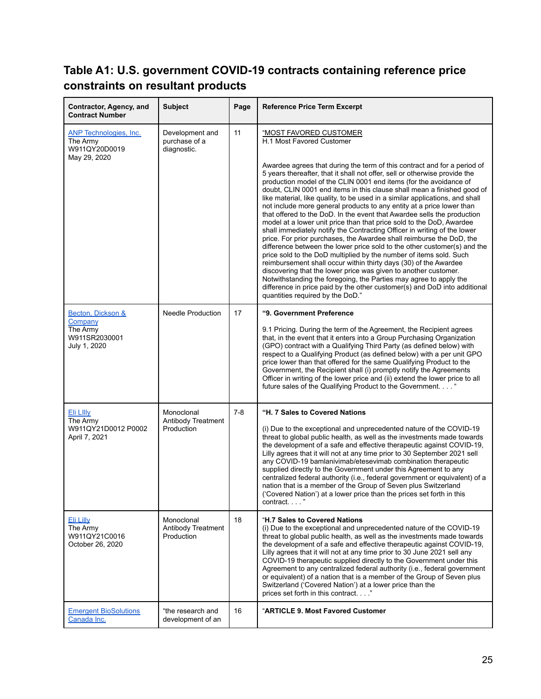## <span id="page-24-0"></span>**Table A1: U.S. government COVID-19 contracts containing reference price constraints on resultant products**

| Contractor, Agency, and<br><b>Contract Number</b>                          | <b>Subject</b>                                  | Page  | <b>Reference Price Term Excerpt</b>                                                                                                                                                                                                                                                                                                                                                                                                                                                                                                                                                                                                                                                                                                                                                                                                                                                                                                                                                                                                                                                                                                                                                                                                                   |
|----------------------------------------------------------------------------|-------------------------------------------------|-------|-------------------------------------------------------------------------------------------------------------------------------------------------------------------------------------------------------------------------------------------------------------------------------------------------------------------------------------------------------------------------------------------------------------------------------------------------------------------------------------------------------------------------------------------------------------------------------------------------------------------------------------------------------------------------------------------------------------------------------------------------------------------------------------------------------------------------------------------------------------------------------------------------------------------------------------------------------------------------------------------------------------------------------------------------------------------------------------------------------------------------------------------------------------------------------------------------------------------------------------------------------|
| <b>ANP Technologies, Inc.</b><br>The Army<br>W911QY20D0019<br>May 29, 2020 | Development and<br>purchase of a<br>diagnostic. | 11    | <u>"MOST FAVORED CUSTOMER</u><br>H.1 Most Favored Customer                                                                                                                                                                                                                                                                                                                                                                                                                                                                                                                                                                                                                                                                                                                                                                                                                                                                                                                                                                                                                                                                                                                                                                                            |
|                                                                            |                                                 |       | Awardee agrees that during the term of this contract and for a period of<br>5 years thereafter, that it shall not offer, sell or otherwise provide the<br>production model of the CLIN 0001 end items (for the avoidance of<br>doubt, CLIN 0001 end items in this clause shall mean a finished good of<br>like material, like quality, to be used in a similar applications, and shall<br>not include more general products to any entity at a price lower than<br>that offered to the DoD. In the event that Awardee sells the production<br>model at a lower unit price than that price sold to the DoD, Awardee<br>shall immediately notify the Contracting Officer in writing of the lower<br>price. For prior purchases, the Awardee shall reimburse the DoD, the<br>difference between the lower price sold to the other customer(s) and the<br>price sold to the DoD multiplied by the number of items sold. Such<br>reimbursement shall occur within thirty days (30) of the Awardee<br>discovering that the lower price was given to another customer.<br>Notwithstanding the foregoing, the Parties may agree to apply the<br>difference in price paid by the other customer(s) and DoD into additional<br>quantities required by the DoD." |
| Becton. Dickson &<br>Company                                               | <b>Needle Production</b>                        | 17    | "9. Government Preference                                                                                                                                                                                                                                                                                                                                                                                                                                                                                                                                                                                                                                                                                                                                                                                                                                                                                                                                                                                                                                                                                                                                                                                                                             |
| The Army<br>W911SR2030001<br>July 1, 2020                                  |                                                 |       | 9.1 Pricing. During the term of the Agreement, the Recipient agrees<br>that, in the event that it enters into a Group Purchasing Organization<br>(GPO) contract with a Qualifying Third Party (as defined below) with<br>respect to a Qualifying Product (as defined below) with a per unit GPO<br>price lower than that offered for the same Qualifying Product to the<br>Government, the Recipient shall (i) promptly notify the Agreements<br>Officer in writing of the lower price and (ii) extend the lower price to all<br>future sales of the Qualifying Product to the Government                                                                                                                                                                                                                                                                                                                                                                                                                                                                                                                                                                                                                                                             |
| Eli LIIIy<br>The Army<br>W911QY21D0012 P0002<br>April 7, 2021              | Monoclonal<br>Antibody Treatment<br>Production  | $7-8$ | "H. 7 Sales to Covered Nations<br>(i) Due to the exceptional and unprecedented nature of the COVID-19<br>threat to global public health, as well as the investments made towards<br>the development of a safe and effective therapeutic against COVID-19,<br>Lilly agrees that it will not at any time prior to 30 September 2021 sell                                                                                                                                                                                                                                                                                                                                                                                                                                                                                                                                                                                                                                                                                                                                                                                                                                                                                                                |
|                                                                            |                                                 |       | any COVID-19 bamlanivimab/etesevimab combination therapeutic<br>supplied directly to the Government under this Agreement to any<br>centralized federal authority (i.e., federal government or equivalent) of a<br>nation that is a member of the Group of Seven plus Switzerland<br>('Covered Nation') at a lower price than the prices set forth in this<br>contract"                                                                                                                                                                                                                                                                                                                                                                                                                                                                                                                                                                                                                                                                                                                                                                                                                                                                                |
| <u>Eli Lilly</u><br>The Army<br>W911QY21C0016<br>October 26, 2020          | Monoclonal<br>Antibody Treatment<br>Production  | 18    | "H.7 Sales to Covered Nations<br>(i) Due to the exceptional and unprecedented nature of the COVID-19<br>threat to global public health, as well as the investments made towards<br>the development of a safe and effective therapeutic against COVID-19,<br>Lilly agrees that it will not at any time prior to 30 June 2021 sell any<br>COVID-19 therapeutic supplied directly to the Government under this<br>Agreement to any centralized federal authority (i.e., federal government<br>or equivalent) of a nation that is a member of the Group of Seven plus<br>Switzerland ('Covered Nation') at a lower price than the<br>prices set forth in this contract"                                                                                                                                                                                                                                                                                                                                                                                                                                                                                                                                                                                   |
| <b>Emergent BioSolutions</b><br>Canada Inc.                                | "the research and<br>development of an          | 16    | "ARTICLE 9. Most Favored Customer                                                                                                                                                                                                                                                                                                                                                                                                                                                                                                                                                                                                                                                                                                                                                                                                                                                                                                                                                                                                                                                                                                                                                                                                                     |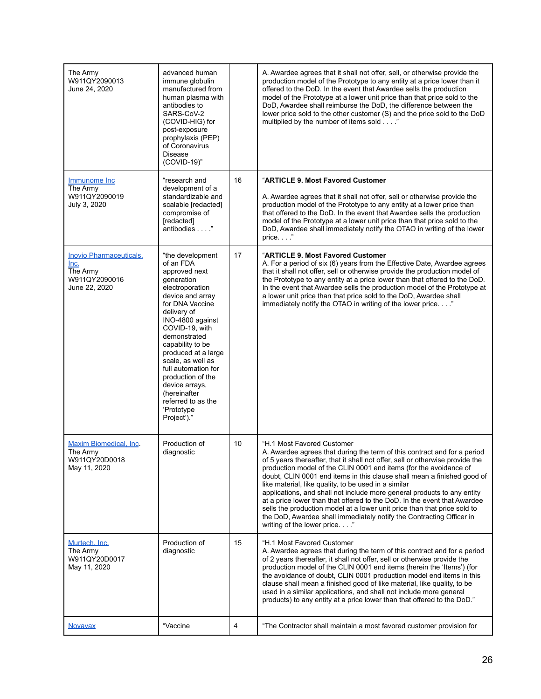| The Army<br>W911QY2090013<br>June 24, 2020                                           | advanced human<br>immune globulin<br>manufactured from<br>human plasma with<br>antibodies to<br>SARS-CoV-2<br>(COVID-HIG) for<br>post-exposure<br>prophylaxis (PEP)<br>of Coronavirus<br>Disease<br>(COVID-19)"                                                                                                                                                                              |    | A. Awardee agrees that it shall not offer, sell, or otherwise provide the<br>production model of the Prototype to any entity at a price lower than it<br>offered to the DoD. In the event that Awardee sells the production<br>model of the Prototype at a lower unit price than that price sold to the<br>DoD, Awardee shall reimburse the DoD, the difference between the<br>lower price sold to the other customer (S) and the price sold to the DoD<br>multiplied by the number of items sold"                                                                                                                                                                                                                                        |
|--------------------------------------------------------------------------------------|----------------------------------------------------------------------------------------------------------------------------------------------------------------------------------------------------------------------------------------------------------------------------------------------------------------------------------------------------------------------------------------------|----|-------------------------------------------------------------------------------------------------------------------------------------------------------------------------------------------------------------------------------------------------------------------------------------------------------------------------------------------------------------------------------------------------------------------------------------------------------------------------------------------------------------------------------------------------------------------------------------------------------------------------------------------------------------------------------------------------------------------------------------------|
| Immunome Inc<br>The Army<br>W911QY2090019<br>July 3, 2020                            | "research and<br>development of a<br>standardizable and<br>scalable [redacted]<br>compromise of<br>[redacted]<br>antibodies "                                                                                                                                                                                                                                                                | 16 | "ARTICLE 9. Most Favored Customer<br>A. Awardee agrees that it shall not offer, sell or otherwise provide the<br>production model of the Prototype to any entity at a lower price than<br>that offered to the DoD. In the event that Awardee sells the production<br>model of the Prototype at a lower unit price than that price sold to the<br>DoD, Awardee shall immediately notify the OTAO in writing of the lower<br>price"                                                                                                                                                                                                                                                                                                         |
| <b>Inovio Pharmaceuticals.</b><br>Inc.<br>The Army<br>W911QY2090016<br>June 22, 2020 | "the development<br>of an FDA<br>approved next<br>generation<br>electroporation<br>device and array<br>for DNA Vaccine<br>delivery of<br>INO-4800 against<br>COVID-19, with<br>demonstrated<br>capability to be<br>produced at a large<br>scale, as well as<br>full automation for<br>production of the<br>device arrays,<br>(hereinafter<br>referred to as the<br>'Prototype<br>Project')." | 17 | "ARTICLE 9. Most Favored Customer<br>A. For a period of six (6) years from the Effective Date, Awardee agrees<br>that it shall not offer, sell or otherwise provide the production model of<br>the Prototype to any entity at a price lower than that offered to the DoD.<br>In the event that Awardee sells the production model of the Prototype at<br>a lower unit price than that price sold to the DoD, Awardee shall<br>immediately notify the OTAO in writing of the lower price"                                                                                                                                                                                                                                                  |
| <b>Maxim Biomedical, Inc.</b><br>The Army<br>W911QY20D0018<br>May 11, 2020           | Production of<br>diagnostic                                                                                                                                                                                                                                                                                                                                                                  | 10 | "H.1 Most Favored Customer<br>A. Awardee agrees that during the term of this contract and for a period<br>of 5 years thereafter, that it shall not offer, sell or otherwise provide the<br>production model of the CLIN 0001 end items (for the avoidance of<br>doubt, CLIN 0001 end items in this clause shall mean a finished good of<br>like material, like quality, to be used in a similar<br>applications, and shall not include more general products to any entity<br>at a price lower than that offered to the DoD. In the event that Awardee<br>sells the production model at a lower unit price than that price sold to<br>the DoD, Awardee shall immediately notify the Contracting Officer in<br>writing of the lower price" |
| Murtech, Inc.<br>The Army<br>W911QY20D0017<br>May 11, 2020                           | Production of<br>diagnostic                                                                                                                                                                                                                                                                                                                                                                  | 15 | "H.1 Most Favored Customer<br>A. Awardee agrees that during the term of this contract and for a period<br>of 2 years thereafter, it shall not offer, sell or otherwise provide the<br>production model of the CLIN 0001 end items (herein the 'Items') (for<br>the avoidance of doubt, CLIN 0001 production model end items in this<br>clause shall mean a finished good of like material, like quality, to be<br>used in a similar applications, and shall not include more general<br>products) to any entity at a price lower than that offered to the DoD."                                                                                                                                                                           |
| <b>Novavax</b>                                                                       | "Vaccine                                                                                                                                                                                                                                                                                                                                                                                     | 4  | "The Contractor shall maintain a most favored customer provision for                                                                                                                                                                                                                                                                                                                                                                                                                                                                                                                                                                                                                                                                      |